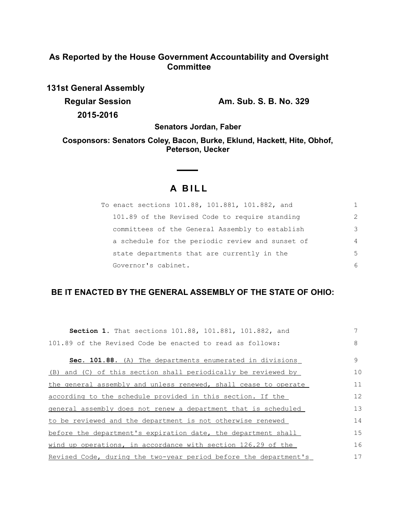## **As Reported by the House Government Accountability and Oversight Committee**

**131st General Assembly Regular Session Am. Sub. S. B. No. 329 2015-2016**

**Senators Jordan, Faber**

**Cosponsors: Senators Coley, Bacon, Burke, Eklund, Hackett, Hite, Obhof, Peterson, Uecker**

# **A B I L L**

 $\sim$  $\overline{\phantom{a}}$ 

| To enact sections 101.88, 101.881, 101.882, and  |                |
|--------------------------------------------------|----------------|
| 101.89 of the Revised Code to require standing   | $\mathcal{L}$  |
| committees of the General Assembly to establish  | 3              |
| a schedule for the periodic review and sunset of | $\overline{4}$ |
| state departments that are currently in the      | 5              |
| Governor's cabinet.                              | 6              |

## **BE IT ENACTED BY THE GENERAL ASSEMBLY OF THE STATE OF OHIO:**

| <b>Section 1.</b> That sections 101.88, 101.881, 101.882, and    |    |
|------------------------------------------------------------------|----|
| 101.89 of the Revised Code be enacted to read as follows:        | 8  |
| Sec. 101.88. (A) The departments enumerated in divisions         | 9  |
| and (C) of this section shall periodically be reviewed by<br>(B) | 10 |
| the general assembly and unless renewed, shall cease to operate  | 11 |
| according to the schedule provided in this section. If the       | 12 |
| general assembly does not renew a department that is scheduled   | 13 |
| to be reviewed and the department is not otherwise renewed       | 14 |
| before the department's expiration date, the department shall    | 15 |
| wind up operations, in accordance with section 126.29 of the     | 16 |
| Revised Code, during the two-year period before the department's | 17 |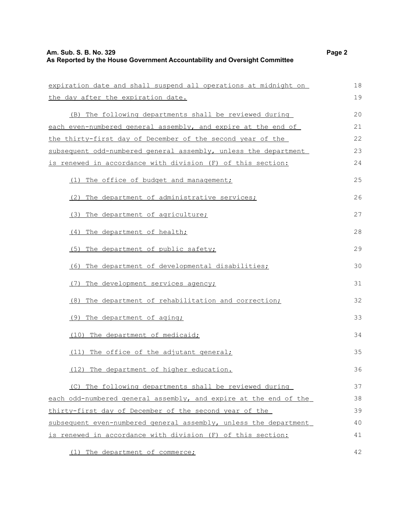## **Am. Sub. S. B. No. 329 Page 2 As Reported by the House Government Accountability and Oversight Committee**

| expiration date and shall suspend all operations at midnight on  | 18 |
|------------------------------------------------------------------|----|
| the day after the expiration date.                               | 19 |
| (B) The following departments shall be reviewed during           | 20 |
| each even-numbered general assembly, and expire at the end of    | 21 |
| the thirty-first day of December of the second year of the       | 22 |
| subsequent odd-numbered general assembly, unless the department  | 23 |
| is renewed in accordance with division (F) of this section:      | 24 |
| (1) The office of budget and management;                         | 25 |
| (2) The department of administrative services;                   | 26 |
| (3) The department of agriculture;                               | 27 |
| (4) The department of health;                                    | 28 |
| (5) The department of public safety;                             | 29 |
| The department of developmental disabilities;<br>(6)             | 30 |
| (7) The development services agency;                             | 31 |
| (8) The department of rehabilitation and correction;             | 32 |
| (9) The department of aging;                                     | 33 |
| (10) The department of medicaid;                                 | 34 |
| The office of the adjutant general;<br>(11)                      | 35 |
| (12) The department of higher education.                         | 36 |
| (C) The following departments shall be reviewed during           | 37 |
| each odd-numbered general assembly, and expire at the end of the | 38 |
| thirty-first day of December of the second year of the           | 39 |
| subsequent even-numbered general assembly, unless the department | 40 |

(1) The department of commerce;

is renewed in accordance with division (F) of this section:

42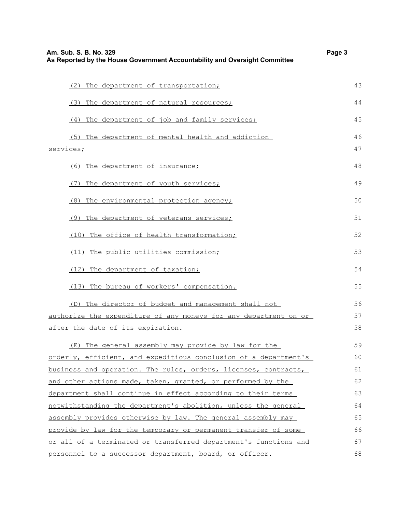| Am. Sub. S. B. No. 329<br>As Reported by the House Government Accountability and Oversight Committee |    |
|------------------------------------------------------------------------------------------------------|----|
| (2) The department of transportation;                                                                | 43 |
| (3) The department of natural resources;                                                             | 44 |
| (4) The department of job and family services;                                                       | 45 |
| (5) The department of mental health and addiction                                                    | 46 |
| services;                                                                                            | 47 |
| (6) The department of insurance;                                                                     | 48 |
| The department of youth services;<br>(7)                                                             | 49 |
| (8) The environmental protection agency;                                                             | 50 |
| (9) The department of veterans services;                                                             | 51 |
| (10) The office of health transformation;                                                            | 52 |
| (11) The public utilities commission;                                                                | 53 |
| (12) The department of taxation;                                                                     | 54 |
| (13) The bureau of workers' compensation.                                                            | 55 |
| (D) The director of budget and management shall not                                                  | 56 |
| authorize the expenditure of any moneys for any department on or                                     | 57 |
| after the date of its expiration.                                                                    | 58 |
| (E) The general assembly may provide by law for the                                                  | 59 |
| orderly, efficient, and expeditious conclusion of a department's                                     | 60 |
| business and operation. The rules, orders, licenses, contracts,                                      | 61 |
| and other actions made, taken, granted, or performed by the                                          | 62 |
| department shall continue in effect according to their terms                                         |    |
| notwithstanding the department's abolition, unless the general                                       | 64 |
| assembly provides otherwise by law. The general assembly may                                         | 65 |
| provide by law for the temporary or permanent transfer of some                                       | 66 |
| or all of a terminated or transferred department's functions and                                     | 67 |
| personnel to a successor department, board, or officer.                                              | 68 |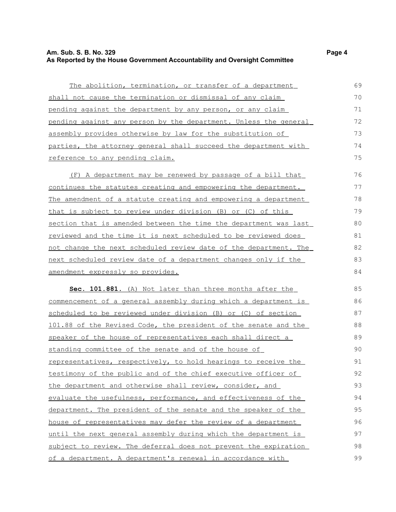#### **Am. Sub. S. B. No. 329 Page 4 As Reported by the House Government Accountability and Oversight Committee**

The abolition, termination, or transfer of a department s hall not cause the termination or dismissal of any claim

pending against the department by any person, or any claim pending against any person by the department. Unless the general assembly provides otherwise by law for the substitution of parties, the attorney general shall succeed the department with reference to any pending claim.

( F) A department may be renewed by passage of a bill that continues the statutes creating and empowering the department. The amendment of a statute creating and empowering a department that is subject to review under division (B) or (C) of this section that is amended between the time the department was last reviewed and the time it is next scheduled to be reviewed does not change the next scheduled review date of the department. The next scheduled review date of a department changes only if the amendment expressly so provides. 76 77 78 79 80 81 82 83 84

 **Sec. 101.881.** (A) Not later than three months after the commencement of a general assembly during which a department is scheduled to be reviewed under division (B) or (C) of section 101.88 of the Revised Code, the president of the senate and the speaker of the house of representatives each shall direct a standing committee of the senate and of the house of representatives, respectively, to hold hearings to receive the testimony of the public and of the chief executive officer of the department and otherwise shall review, consider, and evaluate the usefulness, performance, and effectiveness of the department. The president of the senate and the speaker of the house of representatives may defer the review of a department until the next general assembly during which the department is subject to review. The deferral does not prevent the expiration of a department. A department's renewal in accordance with 85 86 87 88 89 90 91 92 93 94 95 96 97 98 99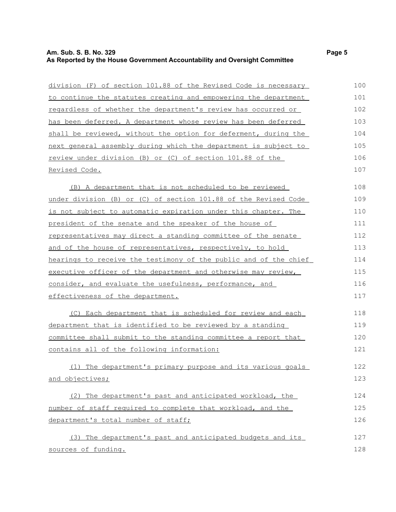#### **Am. Sub. S. B. No. 329 Page 5 As Reported by the House Government Accountability and Oversight Committee**

| division (F) of section 101.88 of the Revised Code is necessary |
|-----------------------------------------------------------------|
| to continue the statutes creating and empowering the department |
| regardless of whether the department's review has occurred or   |
| has been deferred. A department whose review has been deferred  |
| shall be reviewed, without the option for deferment, during the |
| next general assembly during which the department is subject to |
| review under division (B) or (C) of section 101.88 of the       |
| Revised Code.                                                   |
| (B) A department that is not scheduled to be reviewed           |

 $(B)$  A depart under division (B) or (C) of section 101.88 of the Revised Code is not subject to automatic expiration under this chapter. The president of the senate and the speaker of the house of representatives may direct a standing committee of the senate and of the house of representatives, respectively, to hold hearings to receive the testimony of the public and of the chief executive officer of the department and otherwise may review, consider, and evaluate the usefulness, performance, and effectiveness of the department. 108 109 110 111 112 113 114 115 116 117

( C) Each department that is scheduled for review and each department that is identified to be reviewed by a standing committee shall submit to the standing committee a report that contains all of the following information: 118 119 120 121

( 1) The department's primary purpose and its various goals and objectives;

(2) The department's past and anticipated workload, the number of staff required to complete that workload, and the department's total number of staff; 124 125 126

( 3) The department's past and anticipated budgets and its sources of funding. 127 128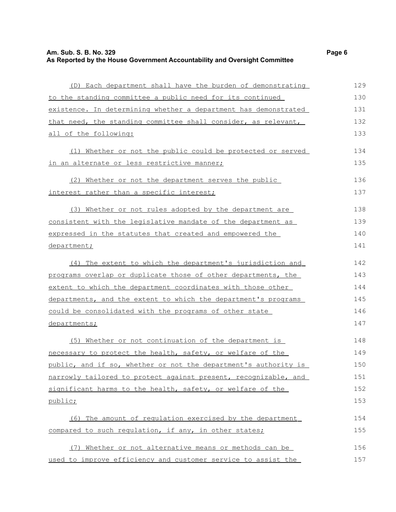## **Am. Sub. S. B. No. 329 Page 6 As Reported by the House Government Accountability and Oversight Committee**

| (D) Each department shall have the burden of demonstrating      | 129 |
|-----------------------------------------------------------------|-----|
| to the standing committee a public need for its continued       | 130 |
| existence. In determining whether a department has demonstrated | 131 |
| that need, the standing committee shall consider, as relevant,  | 132 |
| all of the following:                                           | 133 |
| (1) Whether or not the public could be protected or served      | 134 |
| in an alternate or less restrictive manner;                     | 135 |
| (2) Whether or not the department serves the public             | 136 |
| interest rather than a specific interest;                       | 137 |
| (3) Whether or not rules adopted by the department are          | 138 |
| consistent with the legislative mandate of the department as    | 139 |
| expressed in the statutes that created and empowered the        | 140 |
| department;                                                     | 141 |
| (4) The extent to which the department's jurisdiction and       | 142 |
| programs overlap or duplicate those of other departments, the   | 143 |
| extent to which the department coordinates with those other     | 144 |
| departments, and the extent to which the department's programs  | 145 |
| <u>could be consolidated with the programs of other state</u>   | 146 |
| departments;                                                    | 147 |
| (5) Whether or not continuation of the department is            | 148 |
| necessary to protect the health, safety, or welfare of the      | 149 |
| public, and if so, whether or not the department's authority is | 150 |
| narrowly tailored to protect against present, recognizable, and | 151 |
| significant harms to the health, safety, or welfare of the      | 152 |
| <u>public;</u>                                                  | 153 |
| (6) The amount of regulation exercised by the department        | 154 |
| compared to such regulation, if any, in other states;           | 155 |
| (7) Whether or not alternative means or methods can be          | 156 |
| used to improve efficiency and customer service to assist the   | 157 |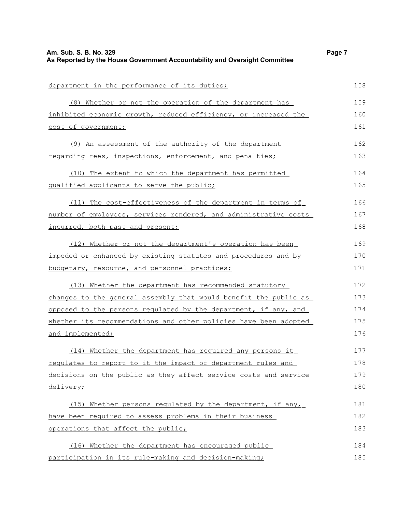| Am. Sub. S. B. No. 329<br>As Reported by the House Government Accountability and Oversight Committee | Page 7 |
|------------------------------------------------------------------------------------------------------|--------|
|                                                                                                      |        |
| department in the performance of its duties;                                                         | 158    |
| (8) Whether or not the operation of the department has                                               | 159    |
| inhibited economic growth, reduced efficiency, or increased the                                      | 160    |
| cost of government;                                                                                  | 161    |
| (9) An assessment of the authority of the department                                                 | 162    |
| regarding fees, inspections, enforcement, and penalties;                                             | 163    |
| (10) The extent to which the department has permitted                                                | 164    |
| qualified applicants to serve the public;                                                            | 165    |
| (11) The cost-effectiveness of the department in terms of                                            | 166    |
| number of employees, services rendered, and administrative costs                                     | 167    |
| incurred, both past and present;                                                                     | 168    |
| (12) Whether or not the department's operation has been                                              | 169    |
| impeded or enhanced by existing statutes and procedures and by                                       | 170    |
| budgetary, resource, and personnel practices;                                                        | 171    |
| (13) Whether the department has recommended statutory                                                | 172    |
| changes to the general assembly that would benefit the public as                                     | 173    |
| opposed to the persons regulated by the department, if any, and                                      | 174    |
| whether its recommendations and other policies have been adopted                                     | 175    |
| and implemented;                                                                                     | 176    |
| (14) Whether the department has required any persons it                                              | 177    |
| requlates to report to it the impact of department rules and                                         | 178    |
| decisions on the public as they affect service costs and service                                     | 179    |
| delivery;                                                                                            | 180    |
| (15) Whether persons regulated by the department, if any,                                            | 181    |
| have been required to assess problems in their business                                              | 182    |
| operations that affect the public;                                                                   | 183    |
| (16) Whether the department has encouraged public                                                    | 184    |
| participation in its rule-making and decision-making;                                                | 185    |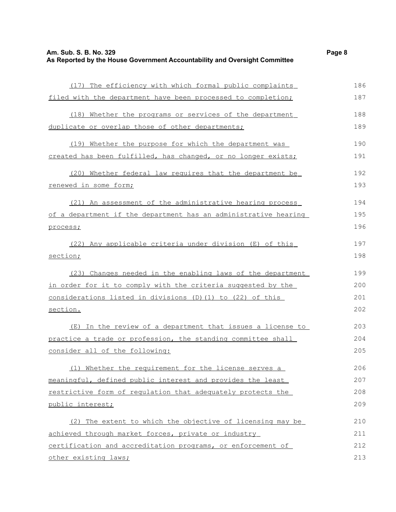| (17) The efficiency with which formal public complaints         | 186 |
|-----------------------------------------------------------------|-----|
| filed with the department have been processed to completion;    | 187 |
| (18) Whether the programs or services of the department         | 188 |
| duplicate or overlap those of other departments;                | 189 |
| Whether the purpose for which the department was<br>(19)        | 190 |
| created has been fulfilled, has changed, or no longer exists;   | 191 |
| (20) Whether federal law requires that the department be        | 192 |
| renewed in some form;                                           | 193 |
| (21) An assessment of the administrative hearing process        | 194 |
| of a department if the department has an administrative hearing | 195 |
| process;                                                        | 196 |
| (22) Any applicable criteria under division (E) of this         | 197 |
| section;                                                        | 198 |
| (23) Changes needed in the enabling laws of the department      | 199 |
| in order for it to comply with the criteria suggested by the    | 200 |
| considerations listed in divisions (D) (1) to (22) of this      | 201 |
| section.                                                        | 202 |
| (E) In the review of a department that issues a license to      | 203 |
| practice a trade or profession, the standing committee shall    | 204 |
| consider all of the following:                                  | 205 |
| (1) Whether the requirement for the license serves a            | 206 |
| meaningful, defined public interest and provides the least      | 207 |
| restrictive form of regulation that adequately protects the     | 208 |
| public interest;                                                | 209 |
| (2) The extent to which the objective of licensing may be       | 210 |
| achieved through market forces, private or industry             | 211 |
| certification and accreditation programs, or enforcement of     | 212 |
| other existing laws;                                            | 213 |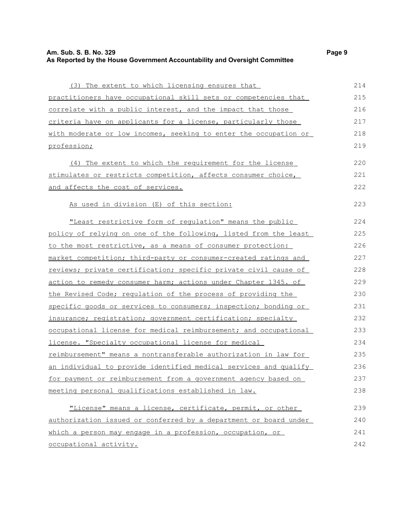## **Am. Sub. S. B. No. 329 Page 9 As Reported by the House Government Accountability and Oversight Committee**

| (3) The extent to which licensing ensures that                   | 214 |
|------------------------------------------------------------------|-----|
| practitioners have occupational skill sets or competencies that  | 215 |
| correlate with a public interest, and the impact that those      | 216 |
| criteria have on applicants for a license, particularly those    | 217 |
| with moderate or low incomes, seeking to enter the occupation or | 218 |
| profession;                                                      | 219 |
| (4) The extent to which the requirement for the license          | 220 |
| stimulates or restricts competition, affects consumer choice,    | 221 |
| and affects the cost of services.                                | 222 |
| As used in division (E) of this section:                         | 223 |
| "Least restrictive form of regulation" means the public          | 224 |
| policy of relying on one of the following, listed from the least | 225 |
| to the most restrictive, as a means of consumer protection:      | 226 |
| market competition; third-party or consumer-created ratings and  | 227 |
| reviews; private certification; specific private civil cause of  | 228 |
| action to remedy consumer harm; actions under Chapter 1345. of   | 229 |
| the Revised Code; requlation of the process of providing the     | 230 |
| specific goods or services to consumers; inspection; bonding or  | 231 |
| insurance; registration; government certification; specialty     | 232 |
| occupational license for medical reimbursement; and occupational | 233 |
| license. "Specialty occupational license for medical             | 234 |
| reimbursement" means a nontransferable authorization in law for  | 235 |
| an individual to provide identified medical services and qualify | 236 |
| for payment or reimbursement from a government agency based on   | 237 |
| meeting personal qualifications established in law.              | 238 |
| "License" means a license, certificate, permit, or other         | 239 |
| authorization issued or conferred by a department or board under | 240 |
| which a person may engage in a profession, occupation, or        | 241 |
| occupational activity.                                           | 242 |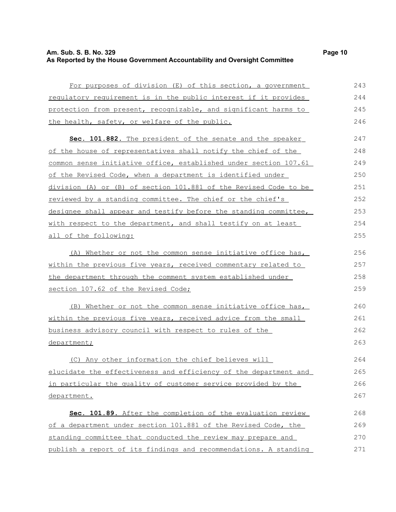### **Am. Sub. S. B. No. 329 Page 10 As Reported by the House Government Accountability and Oversight Committee**

| For purposes of division (E) of this section, a government       | 243 |
|------------------------------------------------------------------|-----|
| requlatory requirement is in the public interest if it provides  | 244 |
| protection from present, recognizable, and significant harms to  | 245 |
| the health, safety, or welfare of the public.                    | 246 |
| Sec. 101.882. The president of the senate and the speaker        | 247 |
| of the house of representatives shall notify the chief of the    | 248 |
| common sense initiative office, established under section 107.61 | 249 |
| of the Revised Code, when a department is identified under       | 250 |
| division (A) or (B) of section 101.881 of the Revised Code to be | 251 |
| reviewed by a standing committee. The chief or the chief's       | 252 |
| designee shall appear and testify before the standing committee, | 253 |
| with respect to the department, and shall testify on at least    | 254 |
| all of the following:                                            | 255 |
| (A) Whether or not the common sense initiative office has,       | 256 |
| within the previous five years, received commentary related to   | 257 |
| the department through the comment system established under      | 258 |
| section 107.62 of the Revised Code;                              | 259 |
| Whether or not the common sense initiative office has,<br>(B)    | 260 |
| within the previous five years, received advice from the small   | 261 |
| business advisory council with respect to rules of the           | 262 |
| department;                                                      | 263 |
|                                                                  |     |

(C) Any other information the chief believes will e lucidate the effectiveness and efficiency of the department and in particular the quality of customer service provided by the department.

Sec. 101.89. After the completion of the evaluation review of a department under section 101.881 of the Revised Code, the standing committee that conducted the review may prepare and publish a report of its findings and recommendations. A standing 268 269 270 271